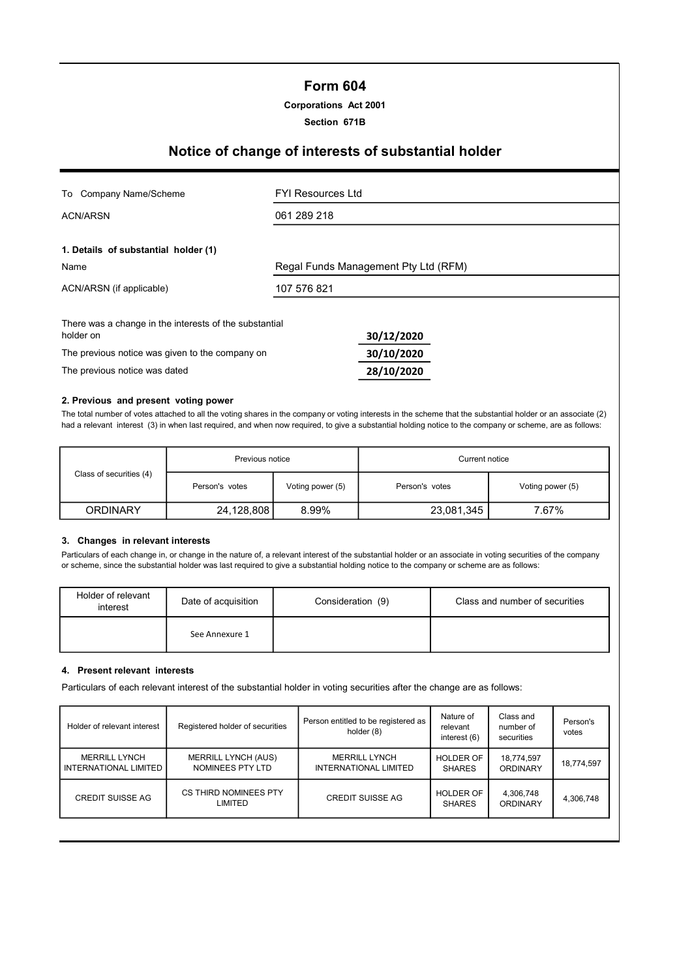### Form 604

#### Corporations Act 2001

Section 671B

## Notice of change of interests of substantial holder

| To Company Name/Scheme                                              | <b>FYI Resources Ltd</b>             |  |  |  |
|---------------------------------------------------------------------|--------------------------------------|--|--|--|
| ACN/ARSN                                                            | 061 289 218                          |  |  |  |
| 1. Details of substantial holder (1)                                |                                      |  |  |  |
| Name                                                                | Regal Funds Management Pty Ltd (RFM) |  |  |  |
| ACN/ARSN (if applicable)                                            | 107 576 821                          |  |  |  |
| There was a change in the interests of the substantial<br>holder on | 30/12/2020                           |  |  |  |
| The previous notice was given to the company on                     | 30/10/2020                           |  |  |  |
| The previous notice was dated                                       | 28/10/2020                           |  |  |  |

#### 2. Previous and present voting power

The total number of votes attached to all the voting shares in the company or voting interests in the scheme that the substantial holder or an associate (2) had a relevant interest (3) in when last required, and when now required, to give a substantial holding notice to the company or scheme, are as follows:

|                         | Previous notice |                  | Current notice |                  |  |
|-------------------------|-----------------|------------------|----------------|------------------|--|
| Class of securities (4) | Person's votes  | Voting power (5) | Person's votes | Voting power (5) |  |
| <b>ORDINARY</b>         | 24,128,808      | 8.99%            | 23,081,345     | 7.67%            |  |

#### 3. Changes in relevant interests

Particulars of each change in, or change in the nature of, a relevant interest of the substantial holder or an associate in voting securities of the company or scheme, since the substantial holder was last required to give a substantial holding notice to the company or scheme are as follows:

| Holder of relevant<br>interest | Date of acquisition | Consideration (9) | Class and number of securities |
|--------------------------------|---------------------|-------------------|--------------------------------|
|                                | See Annexure 1      |                   |                                |

#### 4. Present relevant interests

Particulars of each relevant interest of the substantial holder in voting securities after the change are as follows:

| Holder of relevant interest                   | Registered holder of securities                | Person entitled to be registered as<br>holder (8) | Nature of<br>relevant<br>interest (6) | Class and<br>number of<br>securities | Person's<br>votes |
|-----------------------------------------------|------------------------------------------------|---------------------------------------------------|---------------------------------------|--------------------------------------|-------------------|
| <b>MERRILL LYNCH</b><br>INTERNATIONAL LIMITED | <b>MERRILL LYNCH (AUS)</b><br>NOMINEES PTY LTD | <b>MERRILL LYNCH</b><br>INTERNATIONAL LIMITED     | <b>HOLDER OF</b><br><b>SHARES</b>     | 18,774,597<br><b>ORDINARY</b>        | 18,774,597        |
| <b>CREDIT SUISSE AG</b>                       | CS THIRD NOMINEES PTY<br>LIMITED               | <b>CREDIT SUISSE AG</b>                           | <b>HOLDER OF</b><br><b>SHARES</b>     | 4,306,748<br>ORDINARY                | 4,306,748         |